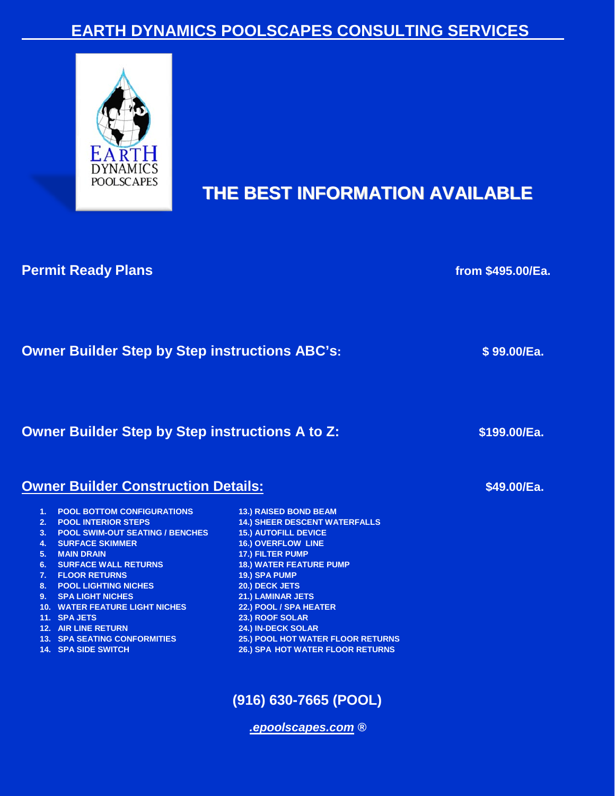# **EARTH DYNAMICS POOLSCAPES CONSULTING SERVICES**



# **THE BEST INFORMATION AVAILABLE**

### **Permit Ready Plans from \$495.00/Ea.**

| <b>Owner Builder Step by Step instructions ABC's:</b> | \$99.00/Ea. |
|-------------------------------------------------------|-------------|
|-------------------------------------------------------|-------------|

**Owner Builder Step by Step instructions A to Z:**  $$199.00/Ea$ **.** 

#### **Owner Builder Construction Details:**

- 
- 
- **3. POOL SWIM-OUT SEATING / BENCHES 15.) AUTOFILL DEVICE**
- **4. SURFACE SKIMMER 16.) OVERFLOW LINE**
- 
- **6. SURFACE WALL RETURNS 18.) WATER FEATURE PUMP**
- **7. FLOOR RETURNS 19.) SPA PUMP**
- 
- 
- **10. WATER FEATURE LIGHT NICHES 22.) POOL / SPA HEATER**
- 
- 
- 
- 
- **1. POOL BOTTOM CONFIGURATIONS 13.) RAISED BOND BEAM 2.14.) SHEER DESCENT WATERFALLS 5. MAIN DRAIN 17.) FILTER PUMP 8. POOL LIGHTING NICHES 20.) DECK JETS 9. SPA LIGHT NICHES 21.) LAMINAR JETS 11. SPA JETS 23.) ROOF SOLAR 12. AIR LINE RETURN 24.) IN-DECK SOLAR 13. POOL HOT WATER FLOOR RETURNS 14. SPA SIDE SWITCH 26.) SPA HOT WATER FLOOR RETURNS**

# **(916) 630-7665 (POOL)**

*[.epoolscapes.com](http://www.epoolscapes.com/) ®*

 **\$49.00/Ea.**